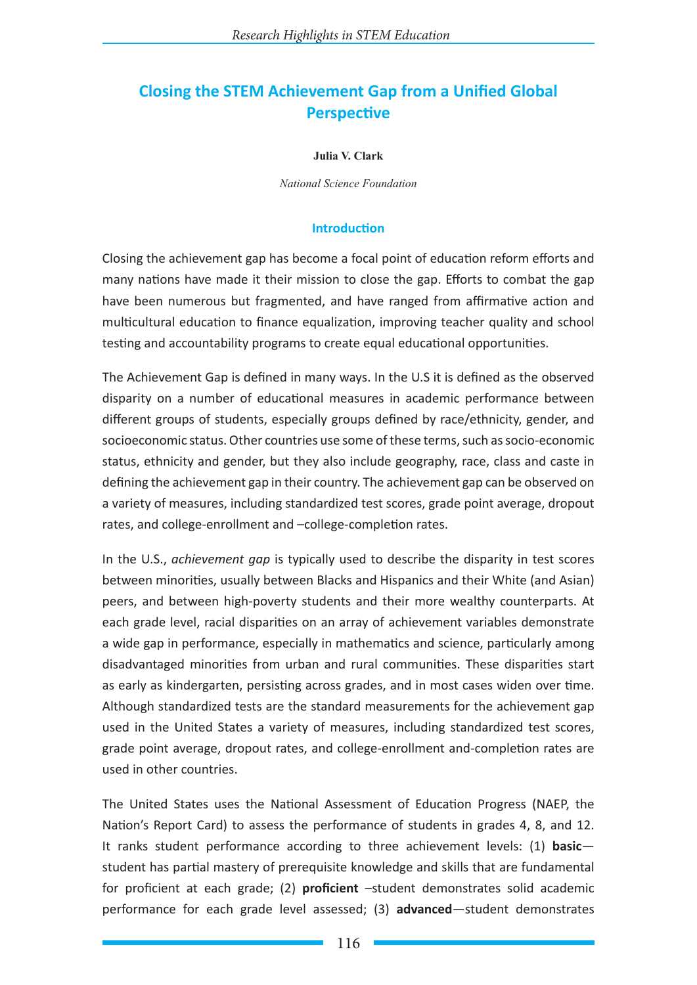# **Closing the STEM Achievement Gap from a Unified Global Perspective**

#### **Julia V. Clark**

*National Science Foundation*

#### **Introduction**

Closing the achievement gap has become a focal point of education reform efforts and many nations have made it their mission to close the gap. Efforts to combat the gap have been numerous but fragmented, and have ranged from affirmative action and multicultural education to finance equalization, improving teacher quality and school testing and accountability programs to create equal educational opportunities.

The Achievement Gap is defined in many ways. In the U.S it is defined as the observed disparity on a number of educational measures in academic performance between different groups of students, especially groups defined by race/ethnicity, gender, and socioeconomic status. Other countries use some of these terms, such as socio-economic status, ethnicity and gender, but they also include geography, race, class and caste in defining the achievement gap in their country. The achievement gap can be observed on a variety of measures, including standardized test scores, grade point average, dropout rates, and college-enrollment and –college-completion rates.

In the U.S., *achievement gap* is typically used to describe the disparity in test scores between minorities, usually between Blacks and Hispanics and their White (and Asian) peers, and between high-poverty students and their more wealthy counterparts. At each grade level, racial disparities on an array of achievement variables demonstrate a wide gap in performance, especially in mathematics and science, particularly among disadvantaged minorities from urban and rural communities. These disparities start as early as kindergarten, persisting across grades, and in most cases widen over time. Although standardized tests are the standard measurements for the achievement gap used in the United States a variety of measures, including standardized test scores, grade point average, dropout rates, and college-enrollment and-completion rates are used in other countries.

The United States uses the National Assessment of Education Progress (NAEP, the Nation's Report Card) to assess the performance of students in grades 4, 8, and 12. It ranks student performance according to three achievement levels: (1) **basic** student has partial mastery of prerequisite knowledge and skills that are fundamental for proficient at each grade; (2) **proficient** –student demonstrates solid academic performance for each grade level assessed; (3) **advanced**—student demonstrates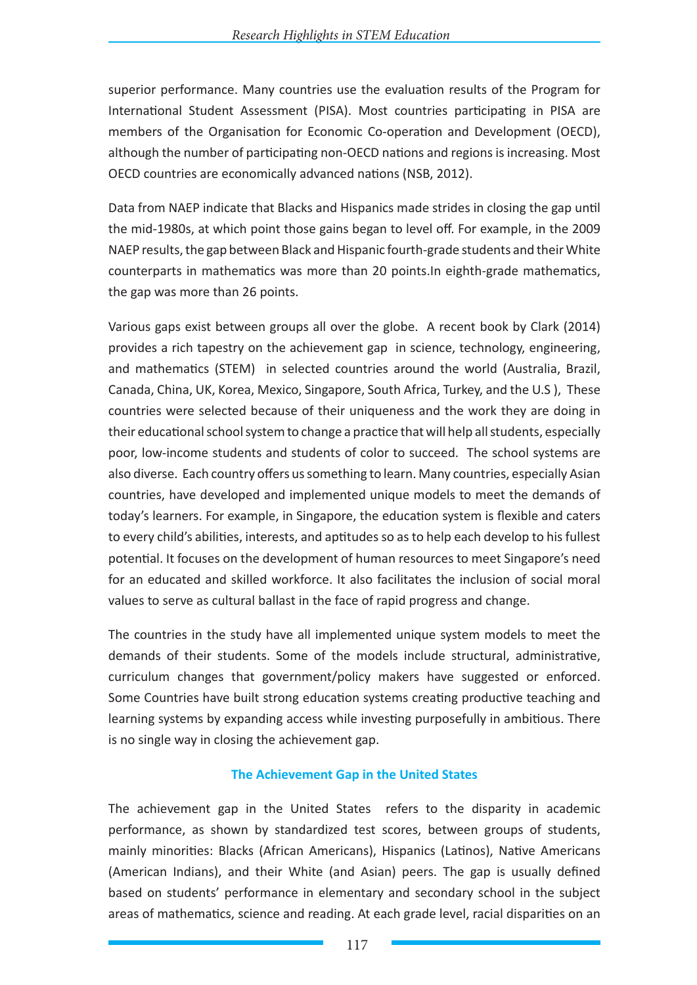superior performance. Many countries use the evaluation results of the Program for International Student Assessment (PISA). Most countries participating in PISA are members of the Organisation for Economic Co-operation and Development (OECD), although the number of participating non-OECD nations and regions is increasing. Most OECD countries are economically advanced nations (NSB, 2012).

Data from NAEP indicate that Blacks and Hispanics made strides in closing the gap until the mid-1980s, at which point those gains began to level off. For example, in the 2009 NAEP results, the gap between Black and Hispanic fourth-grade students and their White counterparts in mathematics was more than 20 points.In eighth-grade mathematics, the gap was more than 26 points.

Various gaps exist between groups all over the globe. A recent book by Clark (2014) provides a rich tapestry on the achievement gap in science, technology, engineering, and mathematics (STEM) in selected countries around the world (Australia, Brazil, Canada, China, UK, Korea, Mexico, Singapore, South Africa, Turkey, and the U.S ), These countries were selected because of their uniqueness and the work they are doing in their educational school system to change a practice that will help all students, especially poor, low-income students and students of color to succeed. The school systems are also diverse. Each country offers us something to learn. Many countries, especially Asian countries, have developed and implemented unique models to meet the demands of today's learners. For example, in Singapore, the education system is flexible and caters to every child's abilities, interests, and aptitudes so as to help each develop to his fullest potential. It focuses on the development of human resources to meet Singapore's need for an educated and skilled workforce. It also facilitates the inclusion of social moral values to serve as cultural ballast in the face of rapid progress and change.

The countries in the study have all implemented unique system models to meet the demands of their students. Some of the models include structural, administrative, curriculum changes that government/policy makers have suggested or enforced. Some Countries have built strong education systems creating productive teaching and learning systems by expanding access while investing purposefully in ambitious. There is no single way in closing the achievement gap.

## **The Achievement Gap in the United States**

The achievement gap in the United States refers to the disparity in academic performance, as shown by standardized test scores, between groups of students, mainly minorities: Blacks (African Americans), Hispanics (Latinos), Native Americans (American Indians), and their White (and Asian) peers. The gap is usually defined based on students' performance in elementary and secondary school in the subject areas of mathematics, science and reading. At each grade level, racial disparities on an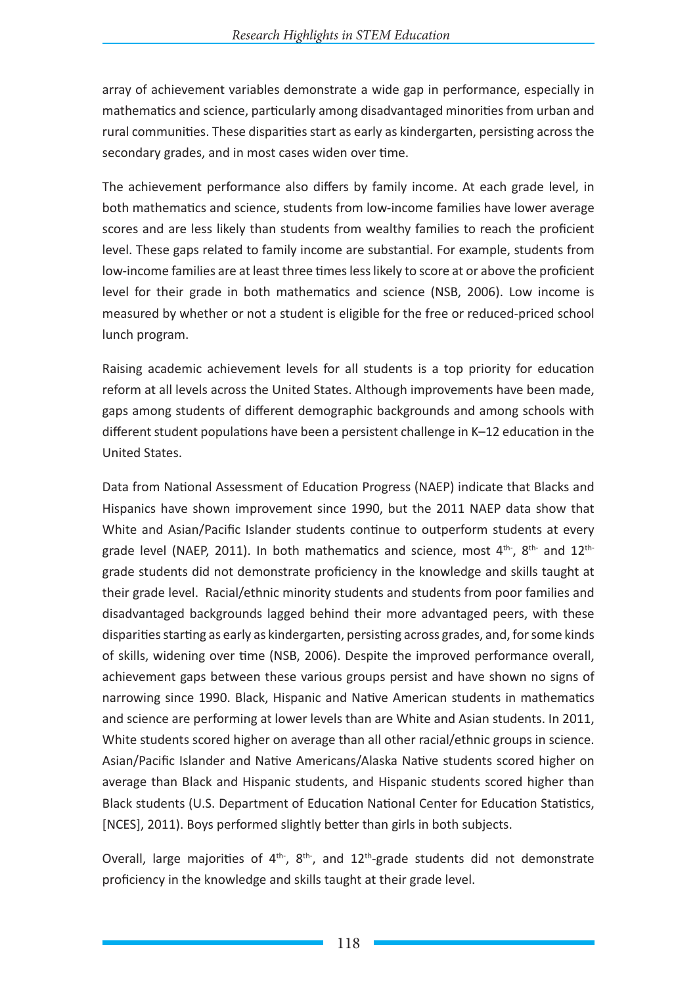array of achievement variables demonstrate a wide gap in performance, especially in mathematics and science, particularly among disadvantaged minorities from urban and rural communities. These disparities start as early as kindergarten, persisting across the secondary grades, and in most cases widen over time.

The achievement performance also differs by family income. At each grade level, in both mathematics and science, students from low-income families have lower average scores and are less likely than students from wealthy families to reach the proficient level. These gaps related to family income are substantial. For example, students from low-income families are at least three times less likely to score at or above the proficient level for their grade in both mathematics and science (NSB, 2006). Low income is measured by whether or not a student is eligible for the free or reduced-priced school lunch program.

Raising academic achievement levels for all students is a top priority for education reform at all levels across the United States. Although improvements have been made, gaps among students of different demographic backgrounds and among schools with different student populations have been a persistent challenge in K–12 education in the United States.

Data from National Assessment of Education Progress (NAEP) indicate that Blacks and Hispanics have shown improvement since 1990, but the 2011 NAEP data show that White and Asian/Pacific Islander students continue to outperform students at every grade level (NAEP, 2011). In both mathematics and science, most 4th-, 8th- and 12thgrade students did not demonstrate proficiency in the knowledge and skills taught at their grade level. Racial/ethnic minority students and students from poor families and disadvantaged backgrounds lagged behind their more advantaged peers, with these disparities starting as early as kindergarten, persisting across grades, and, for some kinds of skills, widening over time (NSB, 2006). Despite the improved performance overall, achievement gaps between these various groups persist and have shown no signs of narrowing since 1990. Black, Hispanic and Native American students in mathematics and science are performing at lower levels than are White and Asian students. In 2011, White students scored higher on average than all other racial/ethnic groups in science. Asian/Pacific Islander and Native Americans/Alaska Native students scored higher on average than Black and Hispanic students, and Hispanic students scored higher than Black students (U.S. Department of Education National Center for Education Statistics, [NCES], 2011). Boys performed slightly better than girls in both subjects.

Overall, large majorities of  $4<sup>th</sup>$ ,  $8<sup>th</sup>$ , and  $12<sup>th</sup>$ -grade students did not demonstrate proficiency in the knowledge and skills taught at their grade level.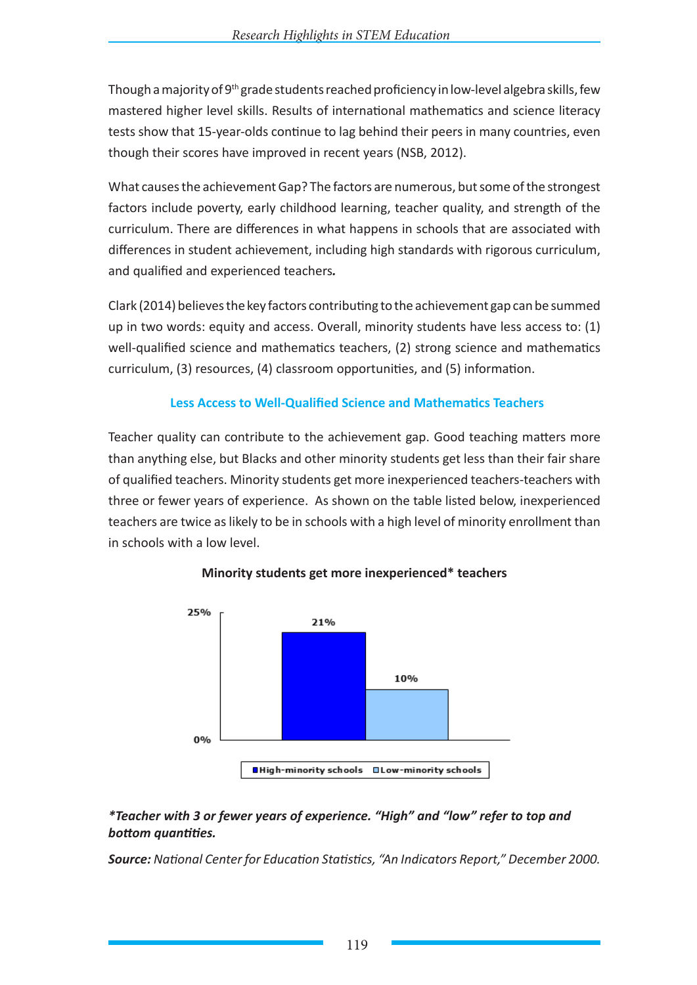Though a majority of 9<sup>th</sup> grade students reached proficiency in low-level algebra skills, few mastered higher level skills. Results of international mathematics and science literacy tests show that 15-year-olds continue to lag behind their peers in many countries, even though their scores have improved in recent years (NSB, 2012).

What causes the achievement Gap? The factors are numerous, but some of the strongest factors include poverty, early childhood learning, teacher quality, and strength of the curriculum. There are differences in what happens in schools that are associated with differences in student achievement, including high standards with rigorous curriculum, and qualified and experienced teachers*.*

Clark (2014) believes the key factors contributing to the achievement gap can be summed up in two words: equity and access. Overall, minority students have less access to: (1) well-qualified science and mathematics teachers, (2) strong science and mathematics curriculum, (3) resources, (4) classroom opportunities, and (5) information.

## **Less Access to Well-Qualified Science and Mathematics Teachers**

Teacher quality can contribute to the achievement gap. Good teaching matters more than anything else, but Blacks and other minority students get less than their fair share of qualified teachers. Minority students get more inexperienced teachers-teachers with three or fewer years of experience. As shown on the table listed below, inexperienced teachers are twice as likely to be in schools with a high level of minority enrollment than in schools with a low level.



## **Minority students get more inexperienced\* teachers**

## *\*Teacher with 3 or fewer years of experience. "High" and "low" refer to top and bottom quantities.*

*Source: National Center for Education Statistics, "An Indicators Report," December 2000.*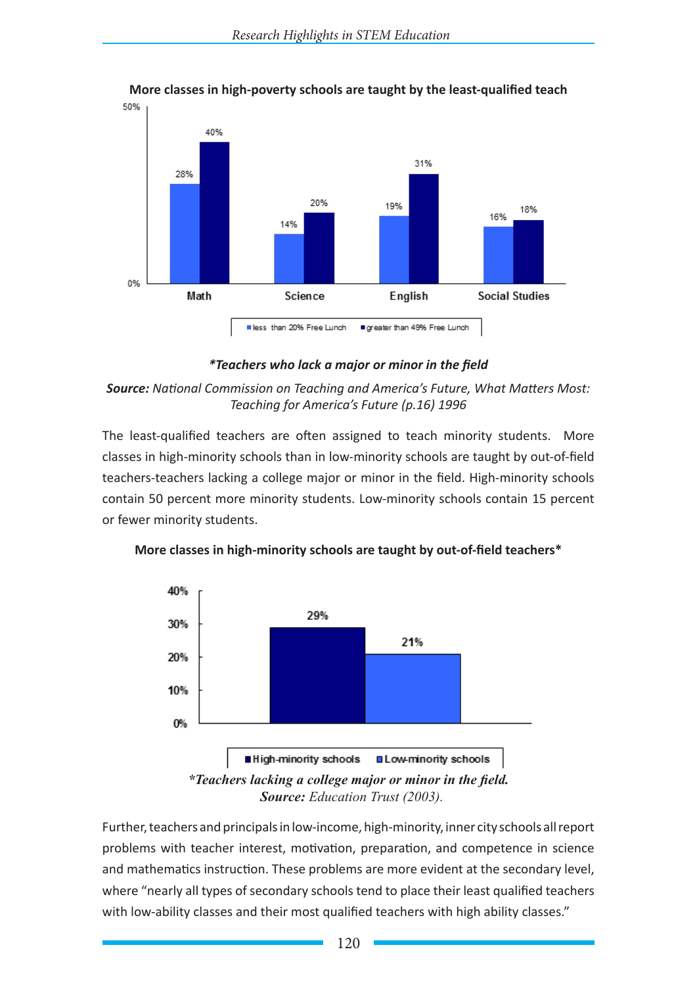

# **More classes in high-poverty schools are taught by the least-qualified teach**

## *\*Teachers who lack a major or minor in the field*

## *Source: National Commission on Teaching and America's Future, What Matters Most: Teaching for America's Future (p.16) 1996*

The least-qualified teachers are often assigned to teach minority students. More classes in high-minority schools than in low-minority schools are taught by out-of-field teachers-teachers lacking a college major or minor in the field. High-minority schools contain 50 percent more minority students. Low-minority schools contain 15 percent or fewer minority students.



**More classes in high-minority schools are taught by out-of-field teachers\***

Further, teachers and principals in low-income, high-minority, inner city schools all report problems with teacher interest, motivation, preparation, and competence in science and mathematics instruction. These problems are more evident at the secondary level, where "nearly all types of secondary schools tend to place their least qualified teachers with low-ability classes and their most qualified teachers with high ability classes."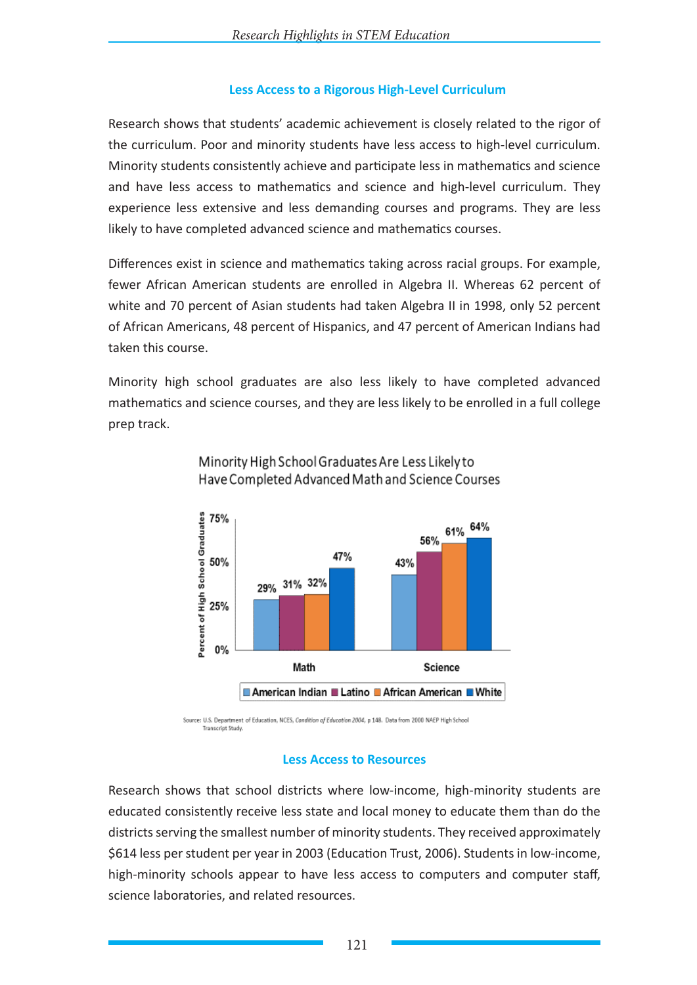## **Less Access to a Rigorous High-Level Curriculum**

Research shows that students' academic achievement is closely related to the rigor of the curriculum. Poor and minority students have less access to high-level curriculum. Minority students consistently achieve and participate less in mathematics and science and have less access to mathematics and science and high-level curriculum. They experience less extensive and less demanding courses and programs. They are less likely to have completed advanced science and mathematics courses.

Differences exist in science and mathematics taking across racial groups. For example, fewer African American students are enrolled in Algebra II. Whereas 62 percent of white and 70 percent of Asian students had taken Algebra II in 1998, only 52 percent of African Americans, 48 percent of Hispanics, and 47 percent of American Indians had taken this course.

Minority high school graduates are also less likely to have completed advanced mathematics and science courses, and they are less likely to be enrolled in a full college prep track.



# Minority High School Graduates Are Less Likely to Have Completed Advanced Math and Science Courses

Source: U.S. Department of Education, NCES, Condition of Education 2004, p 148. Data from 2000 NAEP High School Transcript Study

#### **Less Access to Resources**

Research shows that school districts where low-income, high-minority students are educated consistently receive less state and local money to educate them than do the districts serving the smallest number of minority students. They received approximately \$614 less per student per year in 2003 (Education Trust, 2006). Students in low-income, high-minority schools appear to have less access to computers and computer staff, science laboratories, and related resources.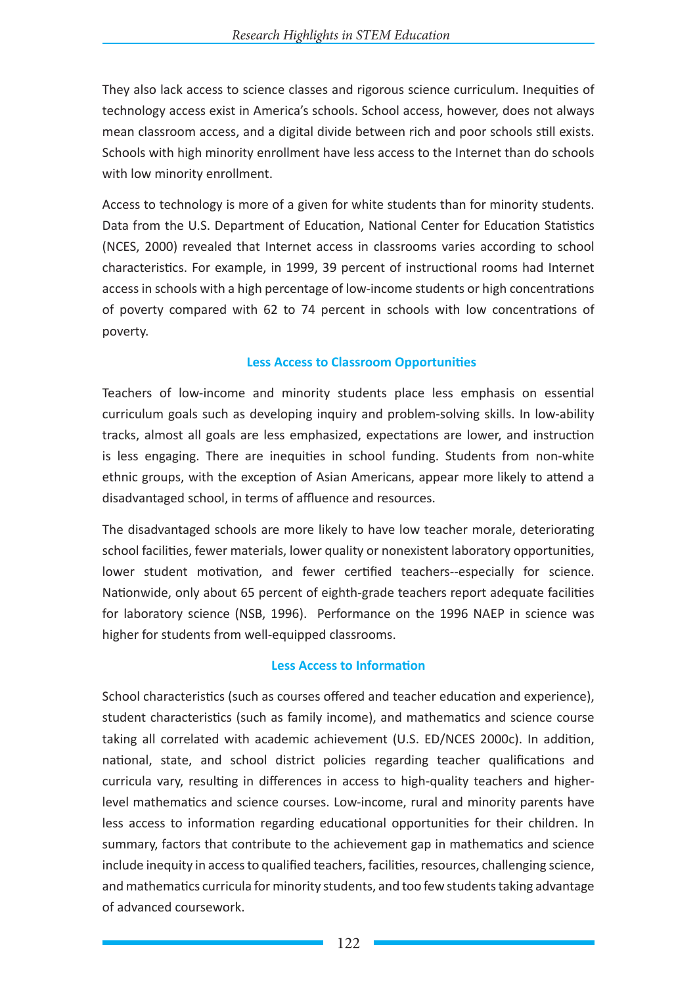They also lack access to science classes and rigorous science curriculum. Inequities of technology access exist in America's schools. School access, however, does not always mean classroom access, and a digital divide between rich and poor schools still exists. Schools with high minority enrollment have less access to the Internet than do schools with low minority enrollment.

Access to technology is more of a given for white students than for minority students. Data from the U.S. Department of Education, National Center for Education Statistics (NCES, 2000) revealed that Internet access in classrooms varies according to school characteristics. For example, in 1999, 39 percent of instructional rooms had Internet access in schools with a high percentage of low-income students or high concentrations of poverty compared with 62 to 74 percent in schools with low concentrations of poverty.

## **Less Access to Classroom Opportunities**

Teachers of low-income and minority students place less emphasis on essential curriculum goals such as developing inquiry and problem-solving skills. In low-ability tracks, almost all goals are less emphasized, expectations are lower, and instruction is less engaging. There are inequities in school funding. Students from non-white ethnic groups, with the exception of Asian Americans, appear more likely to attend a disadvantaged school, in terms of affluence and resources.

The disadvantaged schools are more likely to have low teacher morale, deteriorating school facilities, fewer materials, lower quality or nonexistent laboratory opportunities, lower student motivation, and fewer certified teachers--especially for science. Nationwide, only about 65 percent of eighth-grade teachers report adequate facilities for laboratory science (NSB, 1996). Performance on the 1996 NAEP in science was higher for students from well-equipped classrooms.

## **Less Access to Information**

School characteristics (such as courses offered and teacher education and experience), student characteristics (such as family income), and mathematics and science course taking all correlated with academic achievement (U.S. ED/NCES 2000c). In addition, national, state, and school district policies regarding teacher qualifications and curricula vary, resulting in differences in access to high-quality teachers and higherlevel mathematics and science courses. Low-income, rural and minority parents have less access to information regarding educational opportunities for their children. In summary, factors that contribute to the achievement gap in mathematics and science include inequity in access to qualified teachers, facilities, resources, challenging science, and mathematics curricula for minority students, and too few students taking advantage of advanced coursework.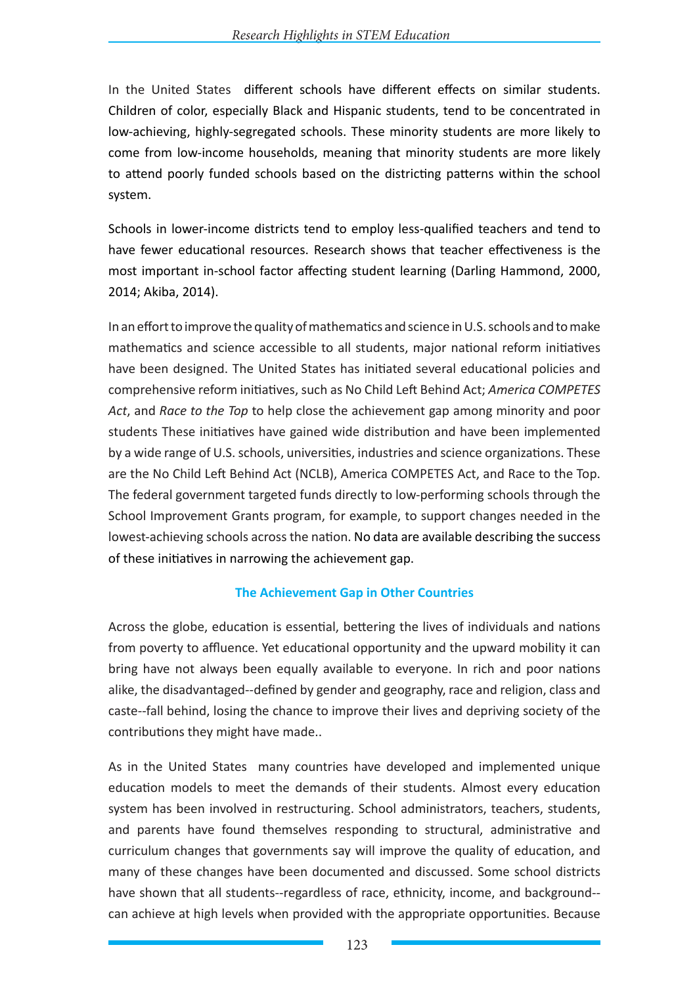In the United States different schools have different effects on similar students. Children of color, especially Black and Hispanic students, tend to be concentrated in low-achieving, highly-segregated schools. These minority students are more likely to come from low-income households, meaning that minority students are more likely to attend poorly funded schools based on the districting patterns within the school system.

Schools in lower-income districts tend to employ less-qualified teachers and tend to have fewer educational resources. Research shows that teacher effectiveness is the most important in-school factor affecting student learning (Darling Hammond, 2000, 2014; Akiba, 2014).

In an effort to improve the quality of mathematics and science in U.S. schools and to make mathematics and science accessible to all students, major national reform initiatives have been designed. The United States has initiated several educational policies and comprehensive reform initiatives, such as No Child Left Behind Act; *America COMPETES Act*, and *Race to the Top* to help close the achievement gap among minority and poor students These initiatives have gained wide distribution and have been implemented by a wide range of U.S. schools, universities, industries and science organizations. These are the No Child Left Behind Act (NCLB), America COMPETES Act, and Race to the Top. The federal government targeted funds directly to low-performing schools through the School Improvement Grants program, for example, to support changes needed in the lowest-achieving schools across the nation. No data are available describing the success of these initiatives in narrowing the achievement gap.

## **The Achievement Gap in Other Countries**

Across the globe, education is essential, bettering the lives of individuals and nations from poverty to affluence. Yet educational opportunity and the upward mobility it can bring have not always been equally available to everyone. In rich and poor nations alike, the disadvantaged--defined by gender and geography, race and religion, class and caste--fall behind, losing the chance to improve their lives and depriving society of the contributions they might have made..

As in the United States many countries have developed and implemented unique education models to meet the demands of their students. Almost every education system has been involved in restructuring. School administrators, teachers, students, and parents have found themselves responding to structural, administrative and curriculum changes that governments say will improve the quality of education, and many of these changes have been documented and discussed. Some school districts have shown that all students--regardless of race, ethnicity, income, and background- can achieve at high levels when provided with the appropriate opportunities. Because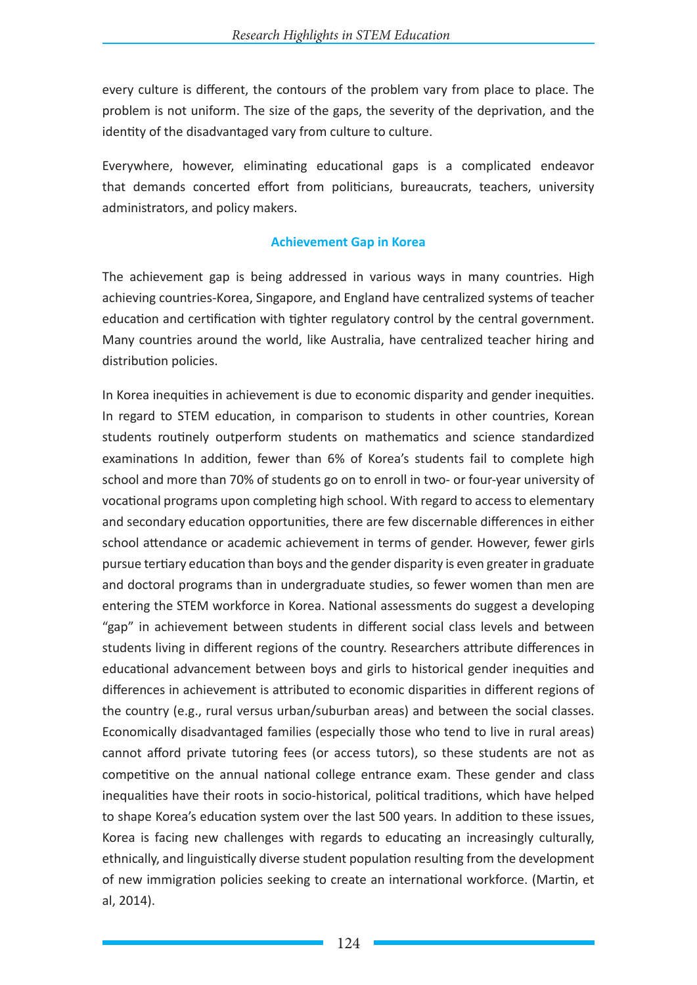every culture is different, the contours of the problem vary from place to place. The problem is not uniform. The size of the gaps, the severity of the deprivation, and the identity of the disadvantaged vary from culture to culture.

Everywhere, however, eliminating educational gaps is a complicated endeavor that demands concerted effort from politicians, bureaucrats, teachers, university administrators, and policy makers.

#### **Achievement Gap in Korea**

The achievement gap is being addressed in various ways in many countries. High achieving countries-Korea, Singapore, and England have centralized systems of teacher education and certification with tighter regulatory control by the central government. Many countries around the world, like Australia, have centralized teacher hiring and distribution policies.

In Korea inequities in achievement is due to economic disparity and gender inequities. In regard to STEM education, in comparison to students in other countries, Korean students routinely outperform students on mathematics and science standardized examinations In addition, fewer than 6% of Korea's students fail to complete high school and more than 70% of students go on to enroll in two- or four-year university of vocational programs upon completing high school. With regard to access to elementary and secondary education opportunities, there are few discernable differences in either school attendance or academic achievement in terms of gender. However, fewer girls pursue tertiary education than boys and the gender disparity is even greater in graduate and doctoral programs than in undergraduate studies, so fewer women than men are entering the STEM workforce in Korea. National assessments do suggest a developing "gap" in achievement between students in different social class levels and between students living in different regions of the country. Researchers attribute differences in educational advancement between boys and girls to historical gender inequities and differences in achievement is attributed to economic disparities in different regions of the country (e.g., rural versus urban/suburban areas) and between the social classes. Economically disadvantaged families (especially those who tend to live in rural areas) cannot afford private tutoring fees (or access tutors), so these students are not as competitive on the annual national college entrance exam. These gender and class inequalities have their roots in socio-historical, political traditions, which have helped to shape Korea's education system over the last 500 years. In addition to these issues, Korea is facing new challenges with regards to educating an increasingly culturally, ethnically, and linguistically diverse student population resulting from the development of new immigration policies seeking to create an international workforce. (Martin, et al, 2014).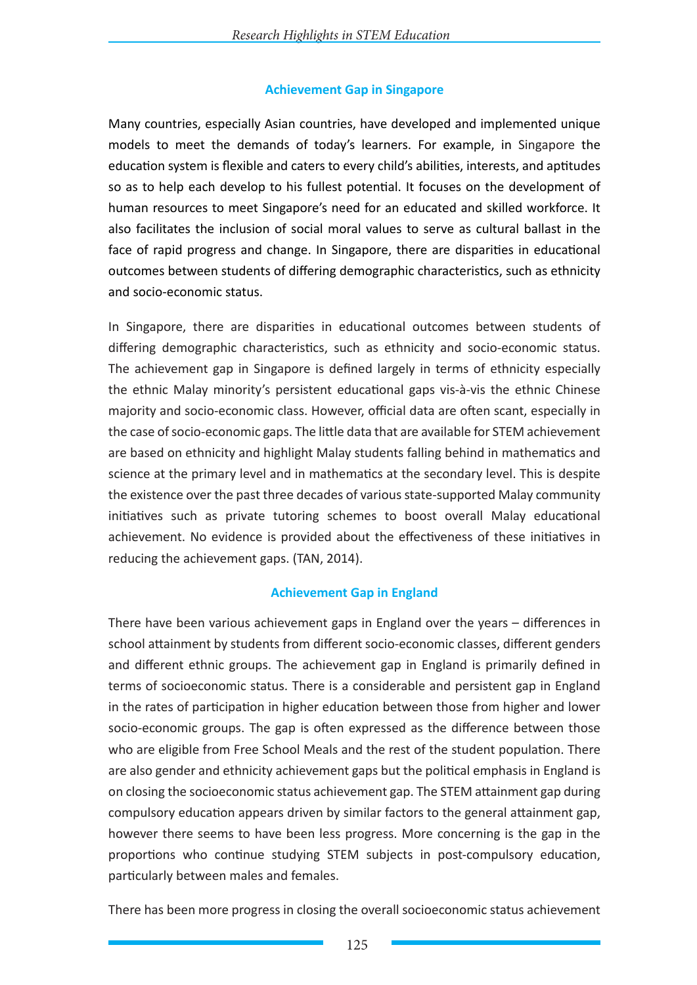## **Achievement Gap in Singapore**

Many countries, especially Asian countries, have developed and implemented unique models to meet the demands of today's learners. For example, in Singapore the education system is flexible and caters to every child's abilities, interests, and aptitudes so as to help each develop to his fullest potential. It focuses on the development of human resources to meet Singapore's need for an educated and skilled workforce. It also facilitates the inclusion of social moral values to serve as cultural ballast in the face of rapid progress and change. In Singapore, there are disparities in educational outcomes between students of differing demographic characteristics, such as ethnicity and socio-economic status.

In Singapore, there are disparities in educational outcomes between students of differing demographic characteristics, such as ethnicity and socio-economic status. The achievement gap in Singapore is defined largely in terms of ethnicity especially the ethnic Malay minority's persistent educational gaps vis-à-vis the ethnic Chinese majority and socio-economic class. However, official data are often scant, especially in the case of socio-economic gaps. The little data that are available for STEM achievement are based on ethnicity and highlight Malay students falling behind in mathematics and science at the primary level and in mathematics at the secondary level. This is despite the existence over the past three decades of various state-supported Malay community initiatives such as private tutoring schemes to boost overall Malay educational achievement. No evidence is provided about the effectiveness of these initiatives in reducing the achievement gaps. (TAN, 2014).

## **Achievement Gap in England**

There have been various achievement gaps in England over the years – differences in school attainment by students from different socio-economic classes, different genders and different ethnic groups. The achievement gap in England is primarily defined in terms of socioeconomic status. There is a considerable and persistent gap in England in the rates of participation in higher education between those from higher and lower socio-economic groups. The gap is often expressed as the difference between those who are eligible from Free School Meals and the rest of the student population. There are also gender and ethnicity achievement gaps but the political emphasis in England is on closing the socioeconomic status achievement gap. The STEM attainment gap during compulsory education appears driven by similar factors to the general attainment gap, however there seems to have been less progress. More concerning is the gap in the proportions who continue studying STEM subjects in post-compulsory education, particularly between males and females.

There has been more progress in closing the overall socioeconomic status achievement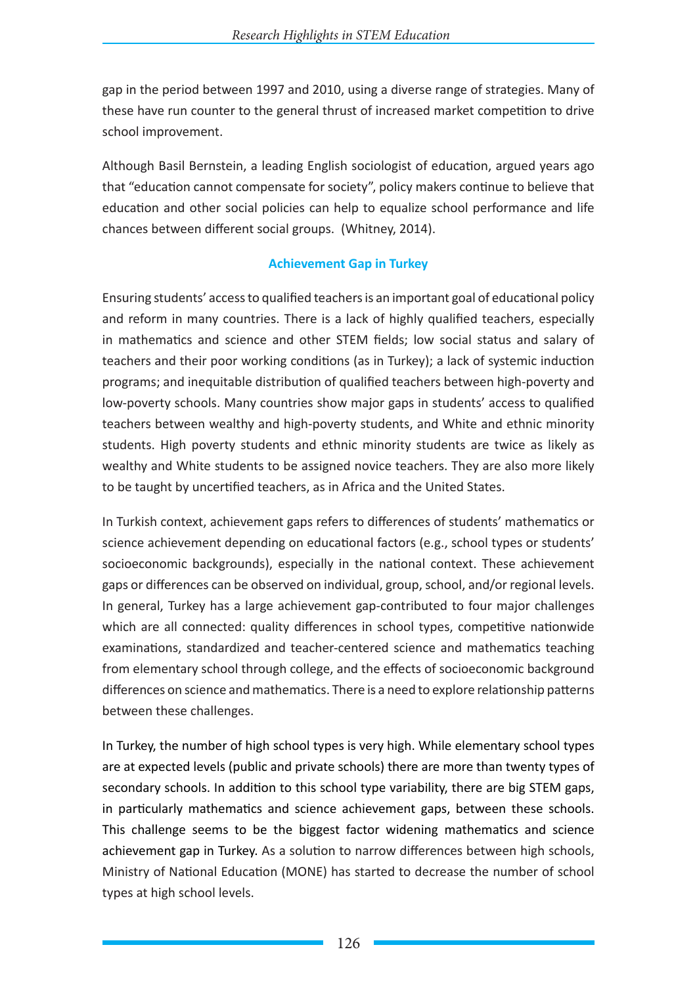gap in the period between 1997 and 2010, using a diverse range of strategies. Many of these have run counter to the general thrust of increased market competition to drive school improvement.

Although Basil Bernstein, a leading English sociologist of education, argued years ago that "education cannot compensate for society", policy makers continue to believe that education and other social policies can help to equalize school performance and life chances between different social groups. (Whitney, 2014).

## **Achievement Gap in Turkey**

Ensuring students' access to qualified teachers is an important goal of educational policy and reform in many countries. There is a lack of highly qualified teachers, especially in mathematics and science and other STEM fields; low social status and salary of teachers and their poor working conditions (as in Turkey); a lack of systemic induction programs; and inequitable distribution of qualified teachers between high-poverty and low-poverty schools. Many countries show major gaps in students' access to qualified teachers between wealthy and high-poverty students, and White and ethnic minority students. High poverty students and ethnic minority students are twice as likely as wealthy and White students to be assigned novice teachers. They are also more likely to be taught by uncertified teachers, as in Africa and the United States.

In Turkish context, achievement gaps refers to differences of students' mathematics or science achievement depending on educational factors (e.g., school types or students' socioeconomic backgrounds), especially in the national context. These achievement gaps or differences can be observed on individual, group, school, and/or regional levels. In general, Turkey has a large achievement gap-contributed to four major challenges which are all connected: quality differences in school types, competitive nationwide examinations, standardized and teacher-centered science and mathematics teaching from elementary school through college, and the effects of socioeconomic background differences on science and mathematics. There is a need to explore relationship patterns between these challenges.

In Turkey, the number of high school types is very high. While elementary school types are at expected levels (public and private schools) there are more than twenty types of secondary schools. In addition to this school type variability, there are big STEM gaps, in particularly mathematics and science achievement gaps, between these schools. This challenge seems to be the biggest factor widening mathematics and science achievement gap in Turkey. As a solution to narrow differences between high schools, Ministry of National Education (MONE) has started to decrease the number of school types at high school levels.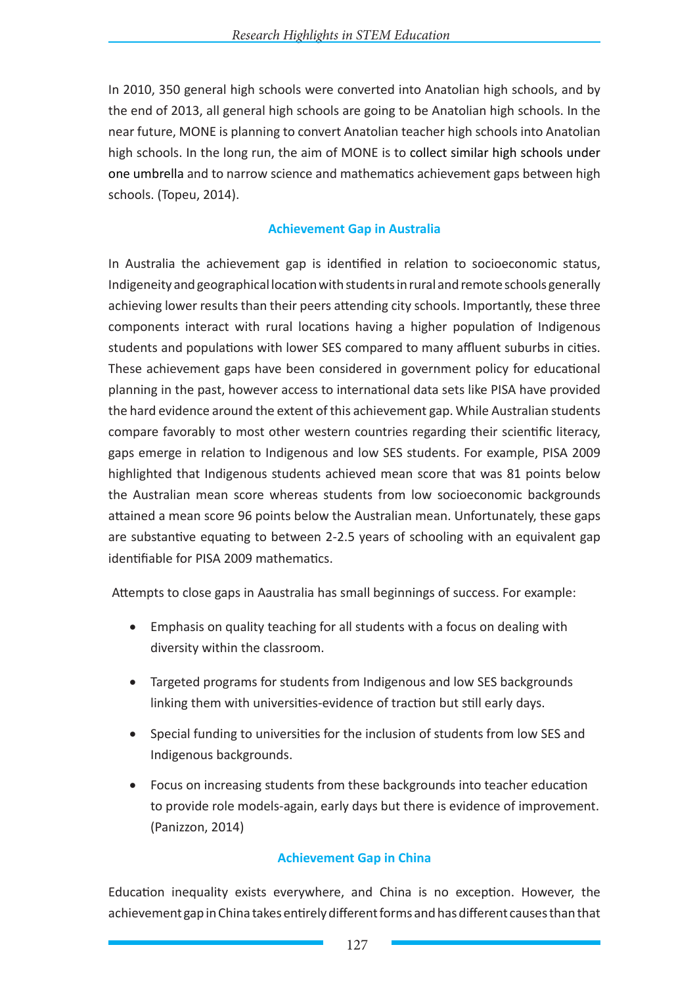In 2010, 350 general high schools were converted into Anatolian high schools, and by the end of 2013, all general high schools are going to be Anatolian high schools. In the near future, MONE is planning to convert Anatolian teacher high schools into Anatolian high schools. In the long run, the aim of MONE is to collect similar high schools under one umbrella and to narrow science and mathematics achievement gaps between high schools. (Topeu, 2014).

## **Achievement Gap in Australia**

In Australia the achievement gap is identified in relation to socioeconomic status, Indigeneity and geographical location with students in rural and remote schools generally achieving lower results than their peers attending city schools. Importantly, these three components interact with rural locations having a higher population of Indigenous students and populations with lower SES compared to many affluent suburbs in cities. These achievement gaps have been considered in government policy for educational planning in the past, however access to international data sets like PISA have provided the hard evidence around the extent of this achievement gap. While Australian students compare favorably to most other western countries regarding their scientific literacy, gaps emerge in relation to Indigenous and low SES students. For example, PISA 2009 highlighted that Indigenous students achieved mean score that was 81 points below the Australian mean score whereas students from low socioeconomic backgrounds attained a mean score 96 points below the Australian mean. Unfortunately, these gaps are substantive equating to between 2-2.5 years of schooling with an equivalent gap identifiable for PISA 2009 mathematics.

Attempts to close gaps in Aaustralia has small beginnings of success. For example:

- Emphasis on quality teaching for all students with a focus on dealing with diversity within the classroom.
- Targeted programs for students from Indigenous and low SES backgrounds linking them with universities-evidence of traction but still early days.
- Special funding to universities for the inclusion of students from low SES and Indigenous backgrounds.
- Focus on increasing students from these backgrounds into teacher education to provide role models-again, early days but there is evidence of improvement. (Panizzon, 2014)

# **Achievement Gap in China**

Education inequality exists everywhere, and China is no exception. However, the achievement gap in China takes entirely different forms and has different causes than that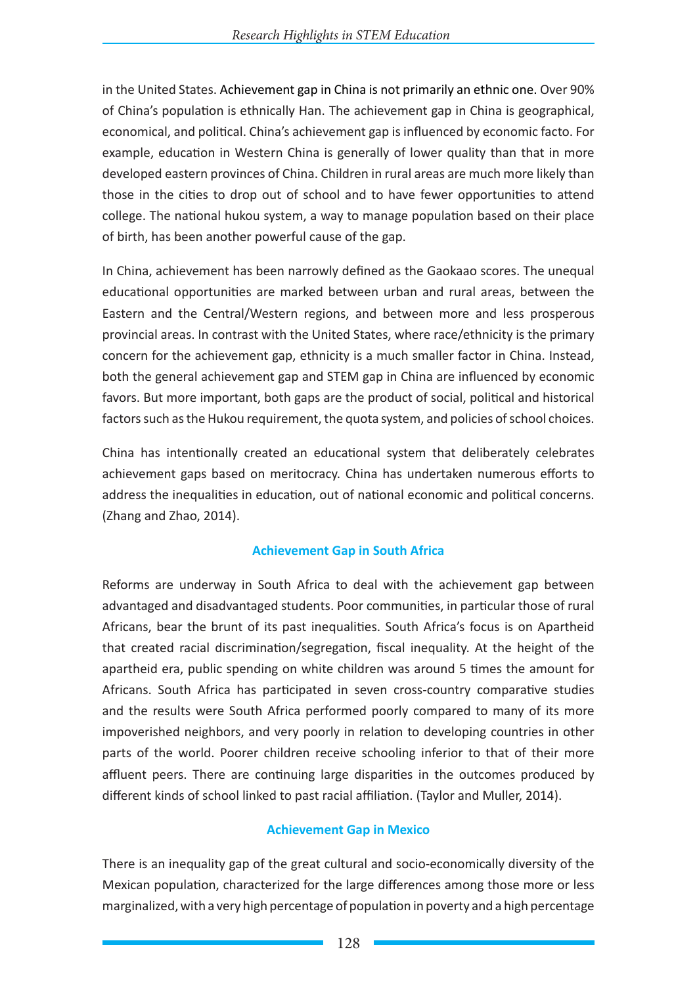in the United States. Achievement gap in China is not primarily an ethnic one. Over 90% of China's population is ethnically Han. The achievement gap in China is geographical, economical, and political. China's achievement gap is influenced by economic facto. For example, education in Western China is generally of lower quality than that in more developed eastern provinces of China. Children in rural areas are much more likely than those in the cities to drop out of school and to have fewer opportunities to attend college. The national hukou system, a way to manage population based on their place of birth, has been another powerful cause of the gap.

In China, achievement has been narrowly defined as the Gaokaao scores. The unequal educational opportunities are marked between urban and rural areas, between the Eastern and the Central/Western regions, and between more and less prosperous provincial areas. In contrast with the United States, where race/ethnicity is the primary concern for the achievement gap, ethnicity is a much smaller factor in China. Instead, both the general achievement gap and STEM gap in China are influenced by economic favors. But more important, both gaps are the product of social, political and historical factors such as the Hukou requirement, the quota system, and policies of school choices.

China has intentionally created an educational system that deliberately celebrates achievement gaps based on meritocracy. China has undertaken numerous efforts to address the inequalities in education, out of national economic and political concerns. (Zhang and Zhao, 2014).

## **Achievement Gap in South Africa**

Reforms are underway in South Africa to deal with the achievement gap between advantaged and disadvantaged students. Poor communities, in particular those of rural Africans, bear the brunt of its past inequalities. South Africa's focus is on Apartheid that created racial discrimination/segregation, fiscal inequality. At the height of the apartheid era, public spending on white children was around 5 times the amount for Africans. South Africa has participated in seven cross-country comparative studies and the results were South Africa performed poorly compared to many of its more impoverished neighbors, and very poorly in relation to developing countries in other parts of the world. Poorer children receive schooling inferior to that of their more affluent peers. There are continuing large disparities in the outcomes produced by different kinds of school linked to past racial affiliation. (Taylor and Muller, 2014).

# **Achievement Gap in Mexico**

There is an inequality gap of the great cultural and socio-economically diversity of the Mexican population, characterized for the large differences among those more or less marginalized, with a very high percentage of population in poverty and a high percentage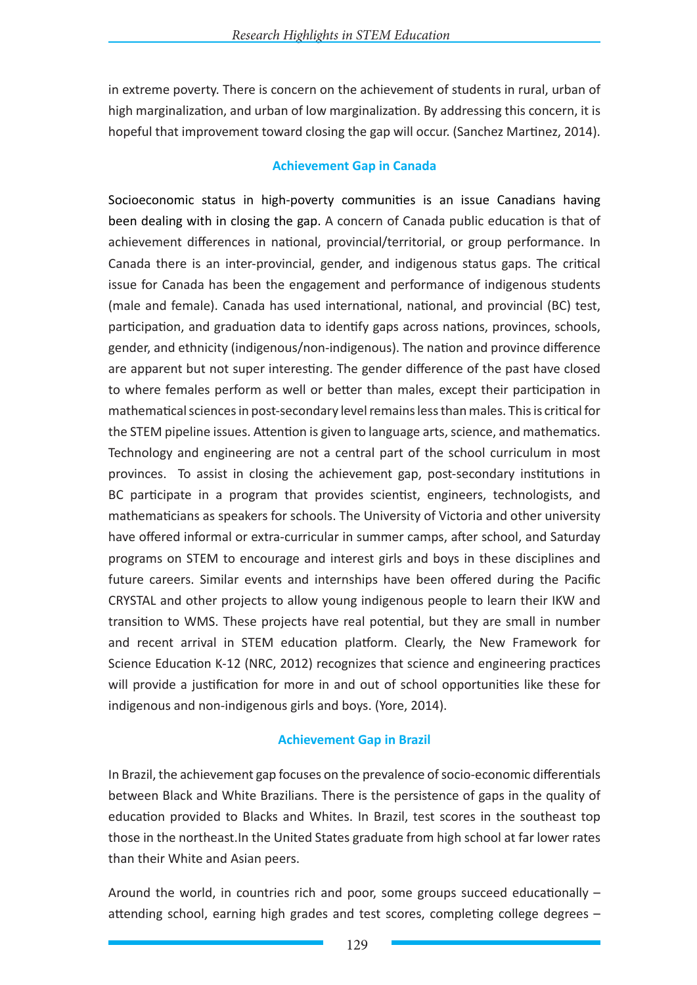in extreme poverty. There is concern on the achievement of students in rural, urban of high marginalization, and urban of low marginalization. By addressing this concern, it is hopeful that improvement toward closing the gap will occur. (Sanchez Martinez, 2014).

## **Achievement Gap in Canada**

Socioeconomic status in high-poverty communities is an issue Canadians having been dealing with in closing the gap. A concern of Canada public education is that of achievement differences in national, provincial/territorial, or group performance. In Canada there is an inter-provincial, gender, and indigenous status gaps. The critical issue for Canada has been the engagement and performance of indigenous students (male and female). Canada has used international, national, and provincial (BC) test, participation, and graduation data to identify gaps across nations, provinces, schools, gender, and ethnicity (indigenous/non-indigenous). The nation and province difference are apparent but not super interesting. The gender difference of the past have closed to where females perform as well or better than males, except their participation in mathematical sciences in post-secondary level remains less than males. This is critical for the STEM pipeline issues. Attention is given to language arts, science, and mathematics. Technology and engineering are not a central part of the school curriculum in most provinces. To assist in closing the achievement gap, post-secondary institutions in BC participate in a program that provides scientist, engineers, technologists, and mathematicians as speakers for schools. The University of Victoria and other university have offered informal or extra-curricular in summer camps, after school, and Saturday programs on STEM to encourage and interest girls and boys in these disciplines and future careers. Similar events and internships have been offered during the Pacific CRYSTAL and other projects to allow young indigenous people to learn their IKW and transition to WMS. These projects have real potential, but they are small in number and recent arrival in STEM education platform. Clearly, the New Framework for Science Education K-12 (NRC, 2012) recognizes that science and engineering practices will provide a justification for more in and out of school opportunities like these for indigenous and non-indigenous girls and boys. (Yore, 2014).

## **Achievement Gap in Brazil**

In Brazil, the achievement gap focuses on the prevalence of socio-economic differentials between Black and White Brazilians. There is the persistence of gaps in the quality of education provided to Blacks and Whites. In Brazil, test scores in the southeast top those in the northeast.In the United States graduate from high school at far lower rates than their White and Asian peers.

Around the world, in countries rich and poor, some groups succeed educationally – attending school, earning high grades and test scores, completing college degrees –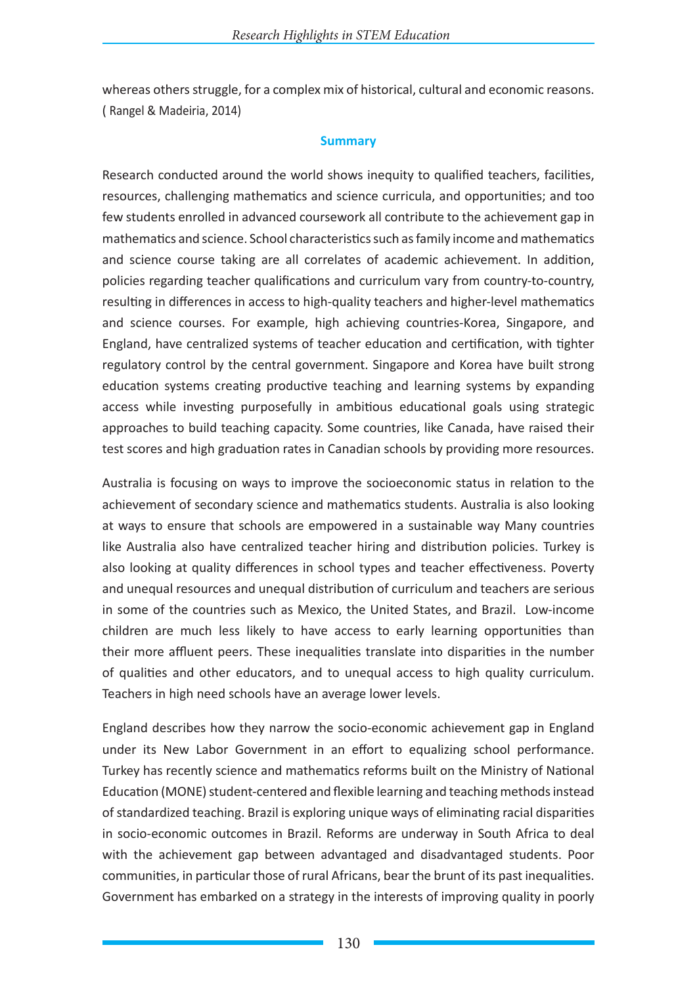whereas others struggle, for a complex mix of historical, cultural and economic reasons. ( Rangel & Madeiria, 2014)

#### **Summary**

Research conducted around the world shows inequity to qualified teachers, facilities, resources, challenging mathematics and science curricula, and opportunities; and too few students enrolled in advanced coursework all contribute to the achievement gap in mathematics and science. School characteristics such as family income and mathematics and science course taking are all correlates of academic achievement. In addition, policies regarding teacher qualifications and curriculum vary from country-to-country, resulting in differences in access to high-quality teachers and higher-level mathematics and science courses. For example, high achieving countries-Korea, Singapore, and England, have centralized systems of teacher education and certification, with tighter regulatory control by the central government. Singapore and Korea have built strong education systems creating productive teaching and learning systems by expanding access while investing purposefully in ambitious educational goals using strategic approaches to build teaching capacity. Some countries, like Canada, have raised their test scores and high graduation rates in Canadian schools by providing more resources.

Australia is focusing on ways to improve the socioeconomic status in relation to the achievement of secondary science and mathematics students. Australia is also looking at ways to ensure that schools are empowered in a sustainable way Many countries like Australia also have centralized teacher hiring and distribution policies. Turkey is also looking at quality differences in school types and teacher effectiveness. Poverty and unequal resources and unequal distribution of curriculum and teachers are serious in some of the countries such as Mexico, the United States, and Brazil. Low-income children are much less likely to have access to early learning opportunities than their more affluent peers. These inequalities translate into disparities in the number of qualities and other educators, and to unequal access to high quality curriculum. Teachers in high need schools have an average lower levels.

England describes how they narrow the socio-economic achievement gap in England under its New Labor Government in an effort to equalizing school performance. Turkey has recently science and mathematics reforms built on the Ministry of National Education (MONE) student-centered and flexible learning and teaching methods instead of standardized teaching. Brazil is exploring unique ways of eliminating racial disparities in socio-economic outcomes in Brazil. Reforms are underway in South Africa to deal with the achievement gap between advantaged and disadvantaged students. Poor communities, in particular those of rural Africans, bear the brunt of its past inequalities. Government has embarked on a strategy in the interests of improving quality in poorly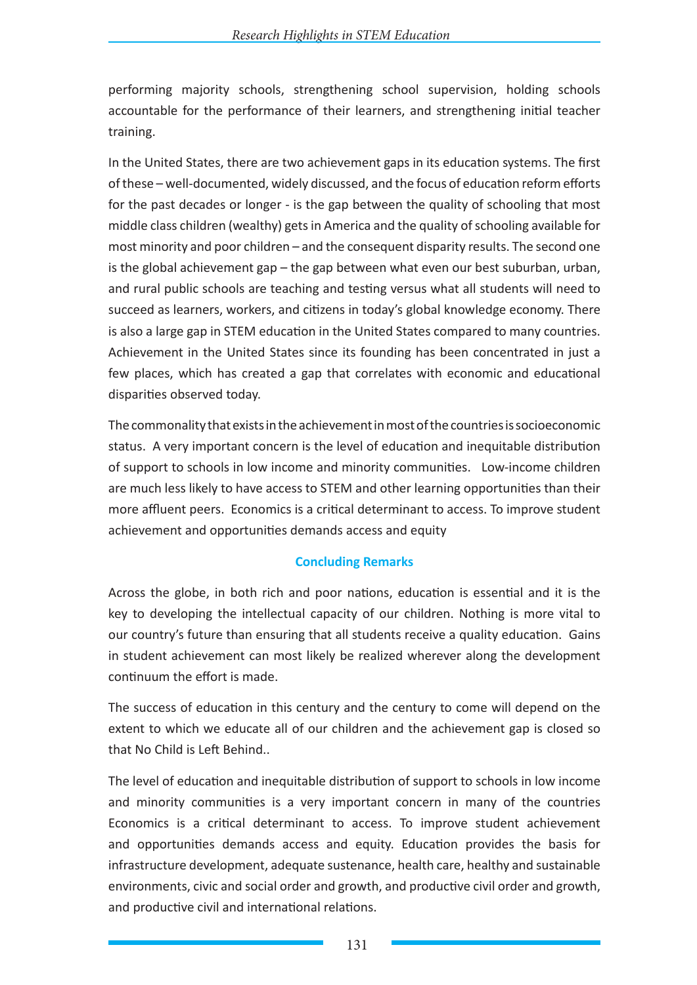performing majority schools, strengthening school supervision, holding schools accountable for the performance of their learners, and strengthening initial teacher training.

In the United States, there are two achievement gaps in its education systems. The first of these – well-documented, widely discussed, and the focus of education reform efforts for the past decades or longer - is the gap between the quality of schooling that most middle class children (wealthy) gets in America and the quality of schooling available for most minority and poor children – and the consequent disparity results. The second one is the global achievement gap – the gap between what even our best suburban, urban, and rural public schools are teaching and testing versus what all students will need to succeed as learners, workers, and citizens in today's global knowledge economy. There is also a large gap in STEM education in the United States compared to many countries. Achievement in the United States since its founding has been concentrated in just a few places, which has created a gap that correlates with economic and educational disparities observed today.

The commonality that exists in the achievement in most of the countries is socioeconomic status. A very important concern is the level of education and inequitable distribution of support to schools in low income and minority communities. Low-income children are much less likely to have access to STEM and other learning opportunities than their more affluent peers. Economics is a critical determinant to access. To improve student achievement and opportunities demands access and equity

## **Concluding Remarks**

Across the globe, in both rich and poor nations, education is essential and it is the key to developing the intellectual capacity of our children. Nothing is more vital to our country's future than ensuring that all students receive a quality education. Gains in student achievement can most likely be realized wherever along the development continuum the effort is made.

The success of education in this century and the century to come will depend on the extent to which we educate all of our children and the achievement gap is closed so that No Child is Left Behind..

The level of education and inequitable distribution of support to schools in low income and minority communities is a very important concern in many of the countries Economics is a critical determinant to access. To improve student achievement and opportunities demands access and equity. Education provides the basis for infrastructure development, adequate sustenance, health care, healthy and sustainable environments, civic and social order and growth, and productive civil order and growth, and productive civil and international relations.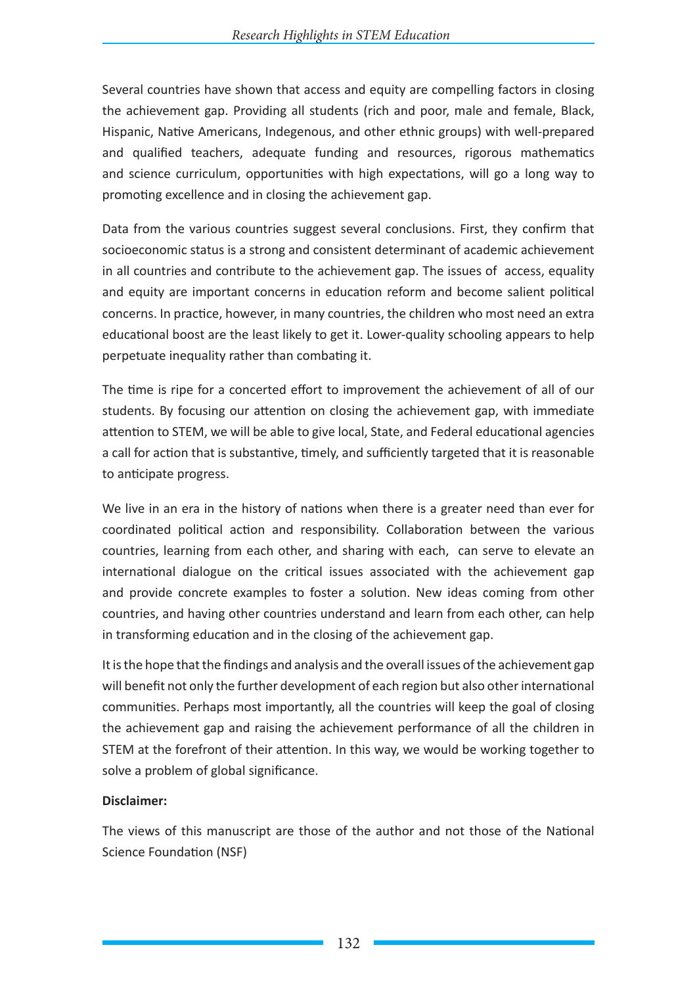Several countries have shown that access and equity are compelling factors in closing the achievement gap. Providing all students (rich and poor, male and female, Black, Hispanic, Native Americans, Indegenous, and other ethnic groups) with well-prepared and qualified teachers, adequate funding and resources, rigorous mathematics and science curriculum, opportunities with high expectations, will go a long way to promoting excellence and in closing the achievement gap.

Data from the various countries suggest several conclusions. First, they confirm that socioeconomic status is a strong and consistent determinant of academic achievement in all countries and contribute to the achievement gap. The issues of access, equality and equity are important concerns in education reform and become salient political concerns. In practice, however, in many countries, the children who most need an extra educational boost are the least likely to get it. Lower-quality schooling appears to help perpetuate inequality rather than combating it.

The time is ripe for a concerted effort to improvement the achievement of all of our students. By focusing our attention on closing the achievement gap, with immediate attention to STEM, we will be able to give local, State, and Federal educational agencies a call for action that is substantive, timely, and sufficiently targeted that it is reasonable to anticipate progress.

We live in an era in the history of nations when there is a greater need than ever for coordinated political action and responsibility. Collaboration between the various countries, learning from each other, and sharing with each, can serve to elevate an international dialogue on the critical issues associated with the achievement gap and provide concrete examples to foster a solution. New ideas coming from other countries, and having other countries understand and learn from each other, can help in transforming education and in the closing of the achievement gap.

It is the hope that the findings and analysis and the overall issues of the achievement gap will benefit not only the further development of each region but also other international communities. Perhaps most importantly, all the countries will keep the goal of closing the achievement gap and raising the achievement performance of all the children in STEM at the forefront of their attention. In this way, we would be working together to solve a problem of global significance.

## **Disclaimer:**

The views of this manuscript are those of the author and not those of the National Science Foundation (NSF)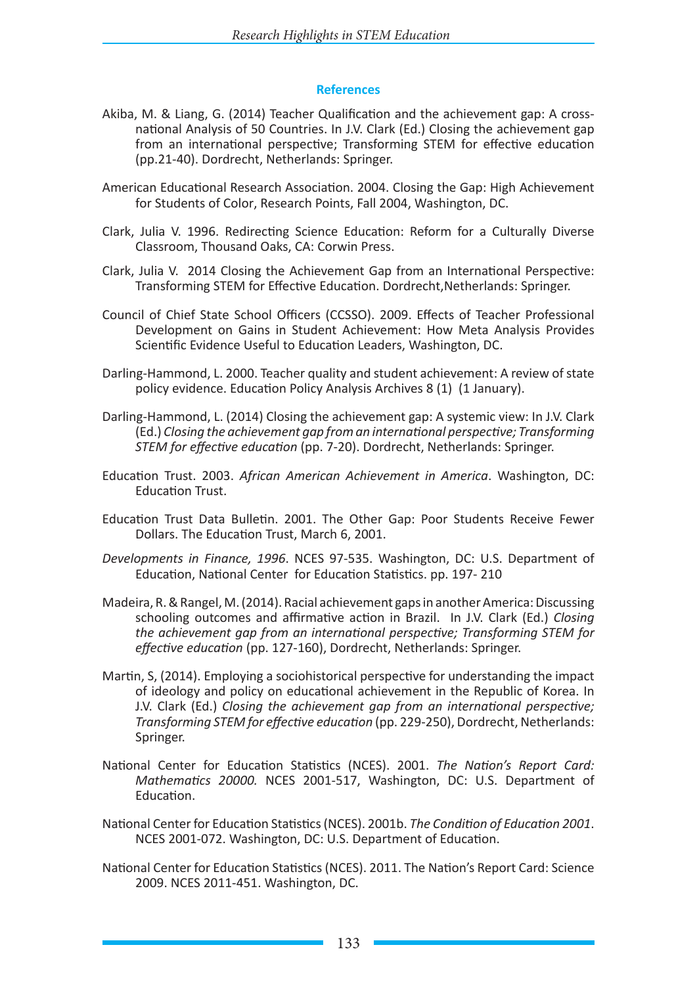#### **References**

- Akiba, M. & Liang, G. (2014) Teacher Qualification and the achievement gap: A crossnational Analysis of 50 Countries. In J.V. Clark (Ed.) Closing the achievement gap from an international perspective; Transforming STEM for effective education (pp.21-40). Dordrecht, Netherlands: Springer.
- American Educational Research Association. 2004. Closing the Gap: High Achievement for Students of Color, Research Points, Fall 2004, Washington, DC.
- Clark, Julia V. 1996. Redirecting Science Education: Reform for a Culturally Diverse Classroom, Thousand Oaks, CA: Corwin Press.
- Clark, Julia V. 2014 Closing the Achievement Gap from an International Perspective: Transforming STEM for Effective Education. Dordrecht,Netherlands: Springer.
- Council of Chief State School Officers (CCSSO). 2009. Effects of Teacher Professional Development on Gains in Student Achievement: How Meta Analysis Provides Scientific Evidence Useful to Education Leaders, Washington, DC.
- Darling-Hammond, L. 2000. Teacher quality and student achievement: A review of state policy evidence. Education Policy Analysis Archives 8 (1) (1 January).
- Darling-Hammond, L. (2014) Closing the achievement gap: A systemic view: In J.V. Clark (Ed.) *Closing the achievement gap from an international perspective; Transforming STEM for effective education* (pp. 7-20). Dordrecht, Netherlands: Springer.
- Education Trust. 2003. *African American Achievement in America*. Washington, DC: Education Trust.
- Education Trust Data Bulletin. 2001. The Other Gap: Poor Students Receive Fewer Dollars. The Education Trust, March 6, 2001.
- *Developments in Finance, 1996*. NCES 97-535. Washington, DC: U.S. Department of Education, National Center for Education Statistics. pp. 197- 210
- Madeira, R. & Rangel, M. (2014). Racial achievement gaps in another America: Discussing schooling outcomes and affirmative action in Brazil. In J.V. Clark (Ed.) *Closing the achievement gap from an international perspective; Transforming STEM for effective education* (pp. 127-160), Dordrecht, Netherlands: Springer.
- Martin, S, (2014). Employing a sociohistorical perspective for understanding the impact of ideology and policy on educational achievement in the Republic of Korea. In J.V. Clark (Ed.) *Closing the achievement gap from an international perspective; Transforming STEM for effective education* (pp. 229-250), Dordrecht, Netherlands: Springer.
- National Center for Education Statistics (NCES). 2001. *The Nation's Report Card: Mathematics 20000.* NCES 2001-517, Washington, DC: U.S. Department of Education.
- National Center for Education Statistics (NCES). 2001b. *The Condition of Education 2001*. NCES 2001-072. Washington, DC: U.S. Department of Education.
- National Center for Education Statistics (NCES). 2011. The Nation's Report Card: Science 2009. NCES 2011-451. Washington, DC.